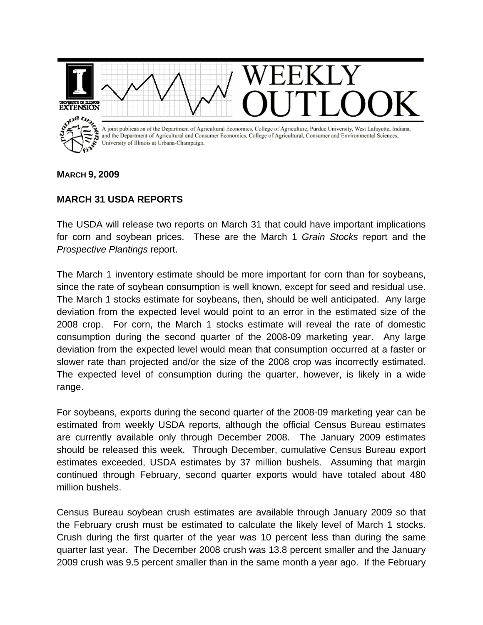

## **MARCH 9, 2009**

## **MARCH 31 USDA REPORTS**

The USDA will release two reports on March 31 that could have important implications for corn and soybean prices. These are the March 1 *Grain Stocks* report and the *Prospective Plantings* report.

The March 1 inventory estimate should be more important for corn than for soybeans, since the rate of soybean consumption is well known, except for seed and residual use. The March 1 stocks estimate for soybeans, then, should be well anticipated. Any large deviation from the expected level would point to an error in the estimated size of the 2008 crop. For corn, the March 1 stocks estimate will reveal the rate of domestic consumption during the second quarter of the 2008-09 marketing year. Any large deviation from the expected level would mean that consumption occurred at a faster or slower rate than projected and/or the size of the 2008 crop was incorrectly estimated. The expected level of consumption during the quarter, however, is likely in a wide range.

For soybeans, exports during the second quarter of the 2008-09 marketing year can be estimated from weekly USDA reports, although the official Census Bureau estimates are currently available only through December 2008. The January 2009 estimates should be released this week. Through December, cumulative Census Bureau export estimates exceeded, USDA estimates by 37 million bushels. Assuming that margin continued through February, second quarter exports would have totaled about 480 million bushels.

Census Bureau soybean crush estimates are available through January 2009 so that the February crush must be estimated to calculate the likely level of March 1 stocks. Crush during the first quarter of the year was 10 percent less than during the same quarter last year. The December 2008 crush was 13.8 percent smaller and the January 2009 crush was 9.5 percent smaller than in the same month a year ago. If the February